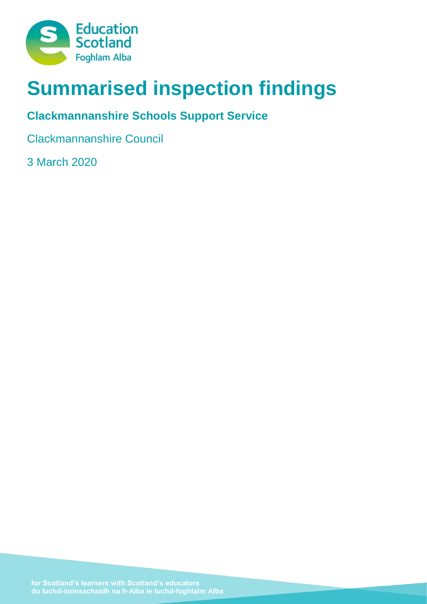

# **Summarised inspection findings**

# **Clackmannanshire Schools Support Service**

Clackmannanshire Council

3 March 2020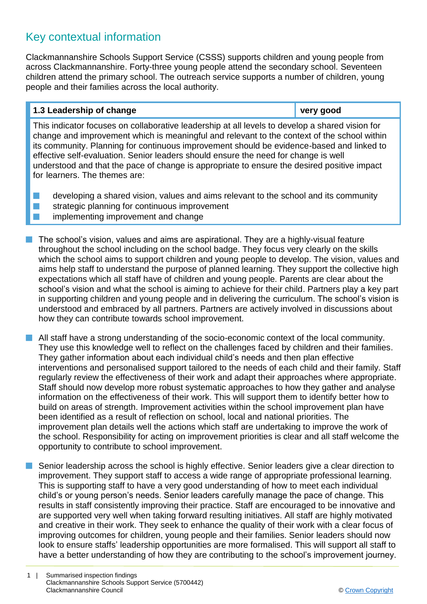## Key contextual information

Clackmannanshire Schools Support Service (CSSS) supports children and young people from across Clackmannanshire. Forty-three young people attend the secondary school. Seventeen children attend the primary school. The outreach service supports a number of children, young people and their families across the local authority.

#### **1.3 Leadership of change very good**

This indicator focuses on collaborative leadership at all levels to develop a shared vision for change and improvement which is meaningful and relevant to the context of the school within its community. Planning for continuous improvement should be evidence-based and linked to effective self-evaluation. Senior leaders should ensure the need for change is well understood and that the pace of change is appropriate to ensure the desired positive impact for learners. The themes are:

- $\blacksquare$  developing a shared vision, values and aims relevant to the school and its community
- $\blacksquare$  strategic planning for continuous improvement
- **n** implementing improvement and change
- The school's vision, values and aims are aspirational. They are a highly-visual feature throughout the school including on the school badge. They focus very clearly on the skills which the school aims to support children and young people to develop. The vision, values and aims help staff to understand the purpose of planned learning. They support the collective high expectations which all staff have of children and young people. Parents are clear about the school's vision and what the school is aiming to achieve for their child. Partners play a key part in supporting children and young people and in delivering the curriculum. The school's vision is understood and embraced by all partners. Partners are actively involved in discussions about how they can contribute towards school improvement.
- All staff have a strong understanding of the socio-economic context of the local community. They use this knowledge well to reflect on the challenges faced by children and their families. They gather information about each individual child's needs and then plan effective interventions and personalised support tailored to the needs of each child and their family. Staff regularly review the effectiveness of their work and adapt their approaches where appropriate. Staff should now develop more robust systematic approaches to how they gather and analyse information on the effectiveness of their work. This will support them to identify better how to build on areas of strength. Improvement activities within the school improvement plan have been identified as a result of reflection on school, local and national priorities. The improvement plan details well the actions which staff are undertaking to improve the work of the school. Responsibility for acting on improvement priorities is clear and all staff welcome the opportunity to contribute to school improvement.
- Senior leadership across the school is highly effective. Senior leaders give a clear direction to improvement. They support staff to access a wide range of appropriate professional learning. This is supporting staff to have a very good understanding of how to meet each individual child's or young person's needs. Senior leaders carefully manage the pace of change. This results in staff consistently improving their practice. Staff are encouraged to be innovative and are supported very well when taking forward resulting initiatives. All staff are highly motivated and creative in their work. They seek to enhance the quality of their work with a clear focus of improving outcomes for children, young people and their families. Senior leaders should now look to ensure staffs' leadership opportunities are more formalised. This will support all staff to have a better understanding of how they are contributing to the school's improvement journey.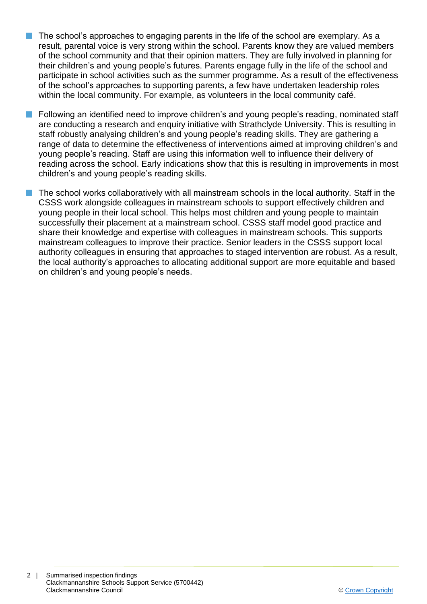- $\blacksquare$  The school's approaches to engaging parents in the life of the school are exemplary. As a result, parental voice is very strong within the school. Parents know they are valued members of the school community and that their opinion matters. They are fully involved in planning for their children's and young people's futures. Parents engage fully in the life of the school and participate in school activities such as the summer programme. As a result of the effectiveness of the school's approaches to supporting parents, a few have undertaken leadership roles within the local community. For example, as volunteers in the local community café.
- n Following an identified need to improve children's and young people's reading, nominated staff are conducting a research and enquiry initiative with Strathclyde University. This is resulting in staff robustly analysing children's and young people's reading skills. They are gathering a range of data to determine the effectiveness of interventions aimed at improving children's and young people's reading. Staff are using this information well to influence their delivery of reading across the school. Early indications show that this is resulting in improvements in most children's and young people's reading skills.
- The school works collaboratively with all mainstream schools in the local authority. Staff in the CSSS work alongside colleagues in mainstream schools to support effectively children and young people in their local school. This helps most children and young people to maintain successfully their placement at a mainstream school. CSSS staff model good practice and share their knowledge and expertise with colleagues in mainstream schools. This supports mainstream colleagues to improve their practice. Senior leaders in the CSSS support local authority colleagues in ensuring that approaches to staged intervention are robust. As a result, the local authority's approaches to allocating additional support are more equitable and based on children's and young people's needs.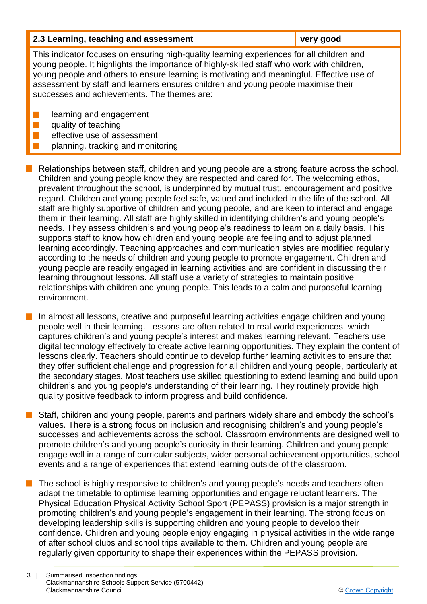| 2.3 Learning, teaching and assessment                                                                                                                                                                                                                                                                                                                                                                                    | very good |  |
|--------------------------------------------------------------------------------------------------------------------------------------------------------------------------------------------------------------------------------------------------------------------------------------------------------------------------------------------------------------------------------------------------------------------------|-----------|--|
| This indicator focuses on ensuring high-quality learning experiences for all children and<br>young people. It highlights the importance of highly-skilled staff who work with children,<br>young people and others to ensure learning is motivating and meaningful. Effective use of<br>assessment by staff and learners ensures children and young people maximise their<br>successes and achievements. The themes are: |           |  |
| learning and engagement<br>quality of teaching<br>effective use of assessment<br>planning, tracking and monitoring                                                                                                                                                                                                                                                                                                       |           |  |

n Relationships between staff, children and young people are a strong feature across the school. Children and young people know they are respected and cared for. The welcoming ethos, prevalent throughout the school, is underpinned by mutual trust, encouragement and positive regard. Children and young people feel safe, valued and included in the life of the school. All staff are highly supportive of children and young people, and are keen to interact and engage them in their learning. All staff are highly skilled in identifying children's and young people's needs. They assess children's and young people's readiness to learn on a daily basis. This supports staff to know how children and young people are feeling and to adjust planned learning accordingly. Teaching approaches and communication styles are modified regularly according to the needs of children and young people to promote engagement. Children and young people are readily engaged in learning activities and are confident in discussing their learning throughout lessons. All staff use a variety of strategies to maintain positive relationships with children and young people. This leads to a calm and purposeful learning environment.

In almost all lessons, creative and purposeful learning activities engage children and young people well in their learning. Lessons are often related to real world experiences, which captures children's and young people's interest and makes learning relevant. Teachers use digital technology effectively to create active learning opportunities. They explain the content of lessons clearly. Teachers should continue to develop further learning activities to ensure that they offer sufficient challenge and progression for all children and young people, particularly at the secondary stages. Most teachers use skilled questioning to extend learning and build upon children's and young people's understanding of their learning. They routinely provide high quality positive feedback to inform progress and build confidence.

Staff, children and young people, parents and partners widely share and embody the school's values. There is a strong focus on inclusion and recognising children's and young people's successes and achievements across the school. Classroom environments are designed well to promote children's and young people's curiosity in their learning. Children and young people engage well in a range of curricular subjects, wider personal achievement opportunities, school events and a range of experiences that extend learning outside of the classroom.

The school is highly responsive to children's and young people's needs and teachers often adapt the timetable to optimise learning opportunities and engage reluctant learners. The Physical Education Physical Activity School Sport (PEPASS) provision is a major strength in promoting children's and young people's engagement in their learning. The strong focus on developing leadership skills is supporting children and young people to develop their confidence. Children and young people enjoy engaging in physical activities in the wide range of after school clubs and school trips available to them. Children and young people are regularly given opportunity to shape their experiences within the PEPASS provision.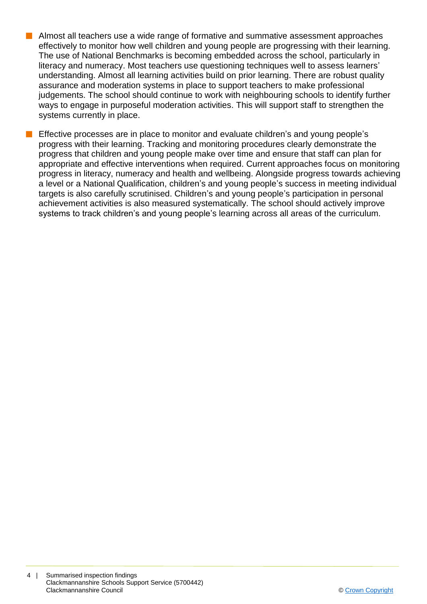- $\blacksquare$  Almost all teachers use a wide range of formative and summative assessment approaches effectively to monitor how well children and young people are progressing with their learning. The use of National Benchmarks is becoming embedded across the school, particularly in literacy and numeracy. Most teachers use questioning techniques well to assess learners' understanding. Almost all learning activities build on prior learning. There are robust quality assurance and moderation systems in place to support teachers to make professional judgements. The school should continue to work with neighbouring schools to identify further ways to engage in purposeful moderation activities. This will support staff to strengthen the systems currently in place.
	- Effective processes are in place to monitor and evaluate children's and young people's progress with their learning. Tracking and monitoring procedures clearly demonstrate the progress that children and young people make over time and ensure that staff can plan for appropriate and effective interventions when required. Current approaches focus on monitoring progress in literacy, numeracy and health and wellbeing. Alongside progress towards achieving a level or a National Qualification, children's and young people's success in meeting individual targets is also carefully scrutinised. Children's and young people's participation in personal achievement activities is also measured systematically. The school should actively improve systems to track children's and young people's learning across all areas of the curriculum.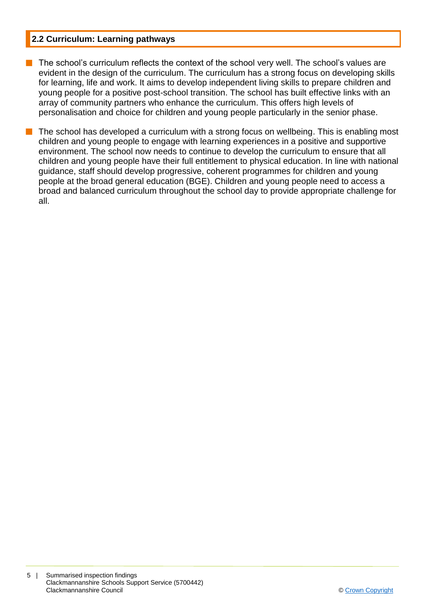#### **2.2 Curriculum: Learning pathways**

- The school's curriculum reflects the context of the school very well. The school's values are evident in the design of the curriculum. The curriculum has a strong focus on developing skills for learning, life and work. It aims to develop independent living skills to prepare children and young people for a positive post-school transition. The school has built effective links with an array of community partners who enhance the curriculum. This offers high levels of personalisation and choice for children and young people particularly in the senior phase.
- The school has developed a curriculum with a strong focus on wellbeing. This is enabling most children and young people to engage with learning experiences in a positive and supportive environment. The school now needs to continue to develop the curriculum to ensure that all children and young people have their full entitlement to physical education. In line with national guidance, staff should develop progressive, coherent programmes for children and young people at the broad general education (BGE). Children and young people need to access a broad and balanced curriculum throughout the school day to provide appropriate challenge for all.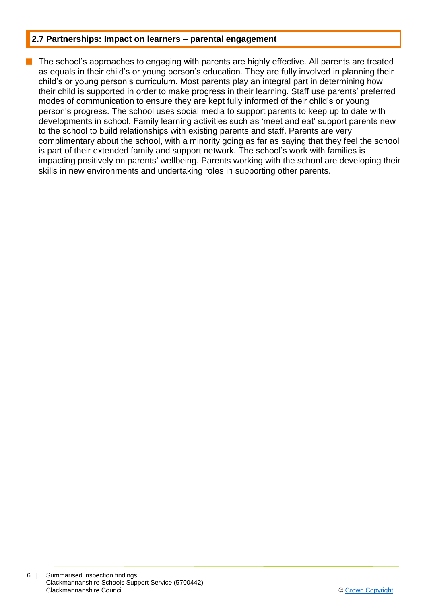#### **2.7 Partnerships: Impact on learners – parental engagement**

The school's approaches to engaging with parents are highly effective. All parents are treated as equals in their child's or young person's education. They are fully involved in planning their child's or young person's curriculum. Most parents play an integral part in determining how their child is supported in order to make progress in their learning. Staff use parents' preferred modes of communication to ensure they are kept fully informed of their child's or young person's progress. The school uses social media to support parents to keep up to date with developments in school. Family learning activities such as 'meet and eat' support parents new to the school to build relationships with existing parents and staff. Parents are very complimentary about the school, with a minority going as far as saying that they feel the school is part of their extended family and support network. The school's work with families is impacting positively on parents' wellbeing. Parents working with the school are developing their skills in new environments and undertaking roles in supporting other parents.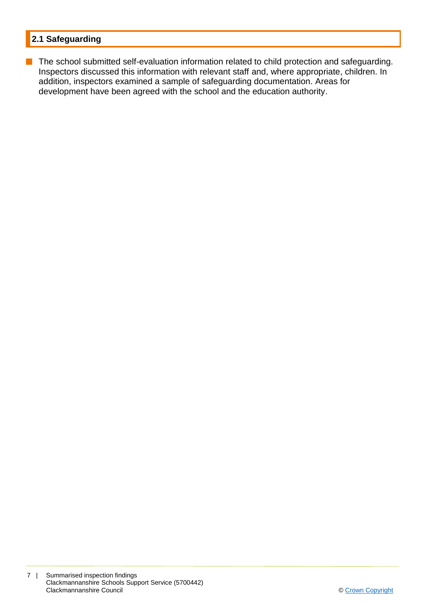## **2.1 Safeguarding**

**n** The school submitted self-evaluation information related to child protection and safeguarding. Inspectors discussed this information with relevant staff and, where appropriate, children. In addition, inspectors examined a sample of safeguarding documentation. Areas for development have been agreed with the school and the education authority.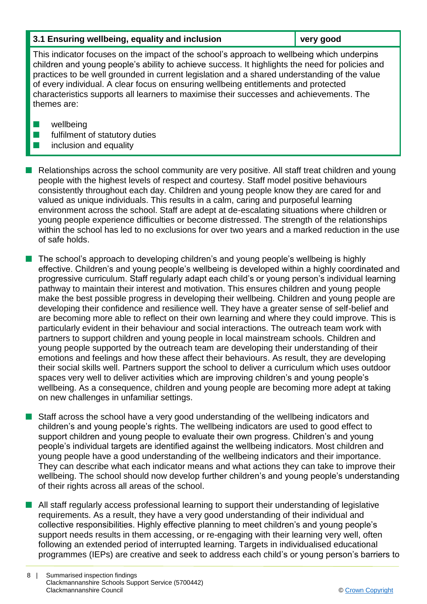#### **3.1 Ensuring wellbeing, equality and inclusion very good**

This indicator focuses on the impact of the school's approach to wellbeing which underpins children and young people's ability to achieve success. It highlights the need for policies and practices to be well grounded in current legislation and a shared understanding of the value of every individual. A clear focus on ensuring wellbeing entitlements and protected characteristics supports all learners to maximise their successes and achievements. The themes are:

- $\blacksquare$  wellbeing
- $\blacksquare$  fulfilment of statutory duties
- $\blacksquare$  inclusion and equality

n Relationships across the school community are very positive. All staff treat children and young people with the highest levels of respect and courtesy. Staff model positive behaviours consistently throughout each day. Children and young people know they are cared for and valued as unique individuals. This results in a calm, caring and purposeful learning environment across the school. Staff are adept at de-escalating situations where children or young people experience difficulties or become distressed. The strength of the relationships within the school has led to no exclusions for over two years and a marked reduction in the use of safe holds.

The school's approach to developing children's and young people's wellbeing is highly effective. Children's and young people's wellbeing is developed within a highly coordinated and progressive curriculum. Staff regularly adapt each child's or young person's individual learning pathway to maintain their interest and motivation. This ensures children and young people make the best possible progress in developing their wellbeing. Children and young people are developing their confidence and resilience well. They have a greater sense of self-belief and are becoming more able to reflect on their own learning and where they could improve. This is particularly evident in their behaviour and social interactions. The outreach team work with partners to support children and young people in local mainstream schools. Children and young people supported by the outreach team are developing their understanding of their emotions and feelings and how these affect their behaviours. As result, they are developing their social skills well. Partners support the school to deliver a curriculum which uses outdoor spaces very well to deliver activities which are improving children's and young people's wellbeing. As a consequence, children and young people are becoming more adept at taking on new challenges in unfamiliar settings.

Staff across the school have a very good understanding of the wellbeing indicators and children's and young people's rights. The wellbeing indicators are used to good effect to support children and young people to evaluate their own progress. Children's and young people's individual targets are identified against the wellbeing indicators. Most children and young people have a good understanding of the wellbeing indicators and their importance. They can describe what each indicator means and what actions they can take to improve their wellbeing. The school should now develop further children's and young people's understanding of their rights across all areas of the school.

**n** All staff regularly access professional learning to support their understanding of legislative requirements. As a result, they have a very good understanding of their individual and collective responsibilities. Highly effective planning to meet children's and young people's support needs results in them accessing, or re-engaging with their learning very well, often following an extended period of interrupted learning. Targets in individualised educational programmes (IEPs) are creative and seek to address each child's or young person's barriers to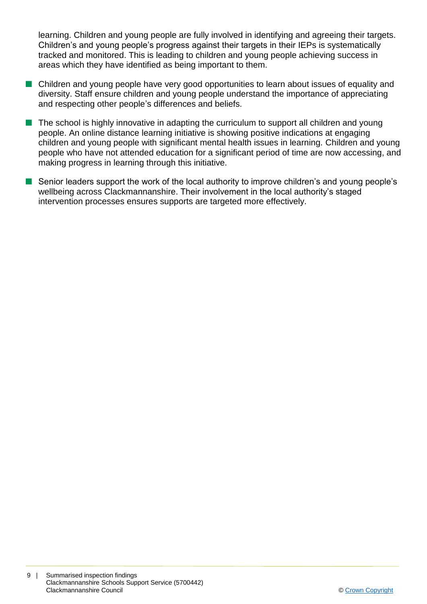learning. Children and young people are fully involved in identifying and agreeing their targets. Children's and young people's progress against their targets in their IEPs is systematically tracked and monitored. This is leading to children and young people achieving success in areas which they have identified as being important to them.

- Children and young people have very good opportunities to learn about issues of equality and diversity. Staff ensure children and young people understand the importance of appreciating and respecting other people's differences and beliefs.
- $\blacksquare$  The school is highly innovative in adapting the curriculum to support all children and young people. An online distance learning initiative is showing positive indications at engaging children and young people with significant mental health issues in learning. Children and young people who have not attended education for a significant period of time are now accessing, and making progress in learning through this initiative.
- $\blacksquare$  Senior leaders support the work of the local authority to improve children's and young people's wellbeing across Clackmannanshire. Their involvement in the local authority's staged intervention processes ensures supports are targeted more effectively.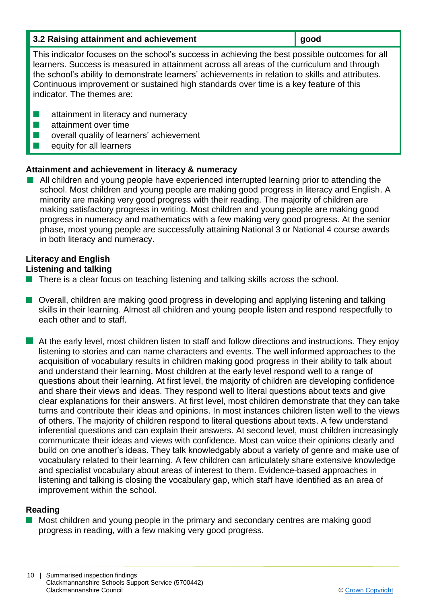| 3.2 Raising attainment and achievement | good |
|----------------------------------------|------|
|                                        |      |

This indicator focuses on the school's success in achieving the best possible outcomes for all learners. Success is measured in attainment across all areas of the curriculum and through the school's ability to demonstrate learners' achievements in relation to skills and attributes. Continuous improvement or sustained high standards over time is a key feature of this indicator. The themes are:

- $\blacksquare$  attainment in literacy and numeracy
- $\blacksquare$  attainment over time
- $\blacksquare$  overall quality of learners' achievement
- $\blacksquare$  equity for all learners

#### **Attainment and achievement in literacy & numeracy**

**n** All children and young people have experienced interrupted learning prior to attending the school. Most children and young people are making good progress in literacy and English. A minority are making very good progress with their reading. The majority of children are making satisfactory progress in writing. Most children and young people are making good progress in numeracy and mathematics with a few making very good progress. At the senior phase, most young people are successfully attaining National 3 or National 4 course awards in both literacy and numeracy.

## **Literacy and English**

## **Listening and talking**

- $\blacksquare$  There is a clear focus on teaching listening and talking skills across the school.
- Overall, children are making good progress in developing and applying listening and talking skills in their learning. Almost all children and young people listen and respond respectfully to each other and to staff.
- **n** At the early level, most children listen to staff and follow directions and instructions. They enjoy listening to stories and can name characters and events. The well informed approaches to the acquisition of vocabulary results in children making good progress in their ability to talk about and understand their learning. Most children at the early level respond well to a range of questions about their learning. At first level, the majority of children are developing confidence and share their views and ideas. They respond well to literal questions about texts and give clear explanations for their answers. At first level, most children demonstrate that they can take turns and contribute their ideas and opinions. In most instances children listen well to the views of others. The majority of children respond to literal questions about texts. A few understand inferential questions and can explain their answers. At second level, most children increasingly communicate their ideas and views with confidence. Most can voice their opinions clearly and build on one another's ideas. They talk knowledgably about a variety of genre and make use of vocabulary related to their learning. A few children can articulately share extensive knowledge and specialist vocabulary about areas of interest to them. Evidence-based approaches in listening and talking is closing the vocabulary gap, which staff have identified as an area of improvement within the school.

## **Reading**

Most children and young people in the primary and secondary centres are making good progress in reading, with a few making very good progress.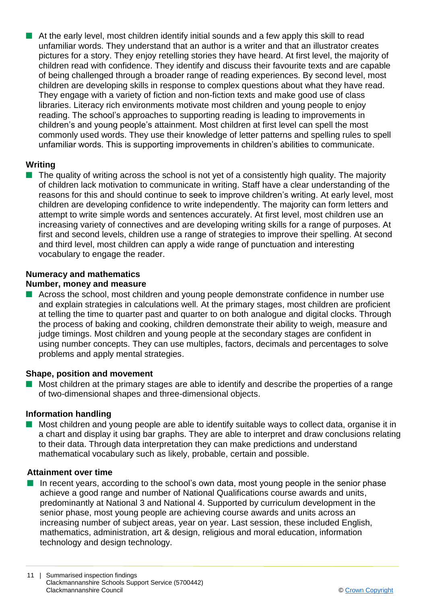$\blacksquare$  At the early level, most children identify initial sounds and a few apply this skill to read unfamiliar words. They understand that an author is a writer and that an illustrator creates pictures for a story. They enjoy retelling stories they have heard. At first level, the majority of children read with confidence. They identify and discuss their favourite texts and are capable of being challenged through a broader range of reading experiences. By second level, most children are developing skills in response to complex questions about what they have read. They engage with a variety of fiction and non-fiction texts and make good use of class libraries. Literacy rich environments motivate most children and young people to enjoy reading. The school's approaches to supporting reading is leading to improvements in children's and young people's attainment. Most children at first level can spell the most commonly used words. They use their knowledge of letter patterns and spelling rules to spell unfamiliar words. This is supporting improvements in children's abilities to communicate.

#### **Writing**

 $\blacksquare$  The quality of writing across the school is not yet of a consistently high quality. The majority of children lack motivation to communicate in writing. Staff have a clear understanding of the reasons for this and should continue to seek to improve children's writing. At early level, most children are developing confidence to write independently. The majority can form letters and attempt to write simple words and sentences accurately. At first level, most children use an increasing variety of connectives and are developing writing skills for a range of purposes. At first and second levels, children use a range of strategies to improve their spelling. At second and third level, most children can apply a wide range of punctuation and interesting vocabulary to engage the reader.

#### **Numeracy and mathematics**

#### **Number, money and measure**

 $\blacksquare$  Across the school, most children and young people demonstrate confidence in number use and explain strategies in calculations well. At the primary stages, most children are proficient at telling the time to quarter past and quarter to on both analogue and digital clocks. Through the process of baking and cooking, children demonstrate their ability to weigh, measure and judge timings. Most children and young people at the secondary stages are confident in using number concepts. They can use multiples, factors, decimals and percentages to solve problems and apply mental strategies.

#### **Shape, position and movement**

n Most children at the primary stages are able to identify and describe the properties of a range of two-dimensional shapes and three-dimensional objects.

#### **Information handling**

**n** Most children and young people are able to identify suitable ways to collect data, organise it in a chart and display it using bar graphs. They are able to interpret and draw conclusions relating to their data. Through data interpretation they can make predictions and understand mathematical vocabulary such as likely, probable, certain and possible.

#### **Attainment over time**

In recent years, according to the school's own data, most young people in the senior phase achieve a good range and number of National Qualifications course awards and units, predominantly at National 3 and National 4. Supported by curriculum development in the senior phase, most young people are achieving course awards and units across an increasing number of subject areas, year on year. Last session, these included English, mathematics, administration, art & design, religious and moral education, information technology and design technology.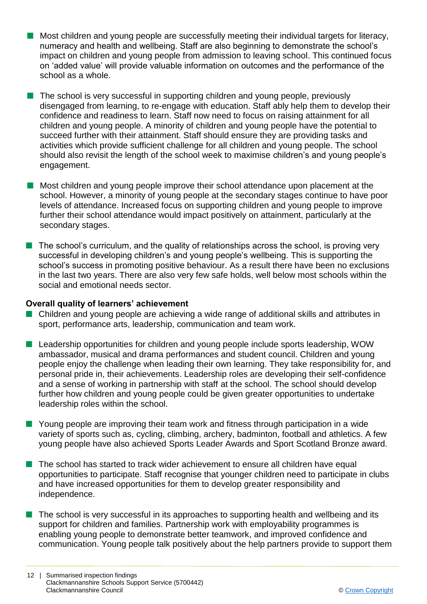- **n** Most children and young people are successfully meeting their individual targets for literacy, numeracy and health and wellbeing. Staff are also beginning to demonstrate the school's impact on children and young people from admission to leaving school. This continued focus on 'added value' will provide valuable information on outcomes and the performance of the school as a whole.
- The school is very successful in supporting children and young people, previously disengaged from learning, to re-engage with education. Staff ably help them to develop their confidence and readiness to learn. Staff now need to focus on raising attainment for all children and young people. A minority of children and young people have the potential to succeed further with their attainment. Staff should ensure they are providing tasks and activities which provide sufficient challenge for all children and young people. The school should also revisit the length of the school week to maximise children's and young people's engagement.
- $\blacksquare$  Most children and voung people improve their school attendance upon placement at the school. However, a minority of young people at the secondary stages continue to have poor levels of attendance. Increased focus on supporting children and young people to improve further their school attendance would impact positively on attainment, particularly at the secondary stages.
- $\blacksquare$  The school's curriculum, and the quality of relationships across the school, is proving very successful in developing children's and young people's wellbeing. This is supporting the school's success in promoting positive behaviour. As a result there have been no exclusions in the last two years. There are also very few safe holds, well below most schools within the social and emotional needs sector.

#### **Overall quality of learners' achievement**

- Children and young people are achieving a wide range of additional skills and attributes in sport, performance arts, leadership, communication and team work.
- Leadership opportunities for children and young people include sports leadership, WOW ambassador, musical and drama performances and student council. Children and young people enjoy the challenge when leading their own learning. They take responsibility for, and personal pride in, their achievements. Leadership roles are developing their self-confidence and a sense of working in partnership with staff at the school. The school should develop further how children and young people could be given greater opportunities to undertake leadership roles within the school.
- $\blacksquare$  Young people are improving their team work and fitness through participation in a wide variety of sports such as, cycling, climbing, archery, badminton, football and athletics. A few young people have also achieved Sports Leader Awards and Sport Scotland Bronze award.
- $\blacksquare$  The school has started to track wider achievement to ensure all children have equal opportunities to participate. Staff recognise that younger children need to participate in clubs and have increased opportunities for them to develop greater responsibility and independence.
- $\blacksquare$  The school is very successful in its approaches to supporting health and wellbeing and its support for children and families. Partnership work with employability programmes is enabling young people to demonstrate better teamwork, and improved confidence and communication. Young people talk positively about the help partners provide to support them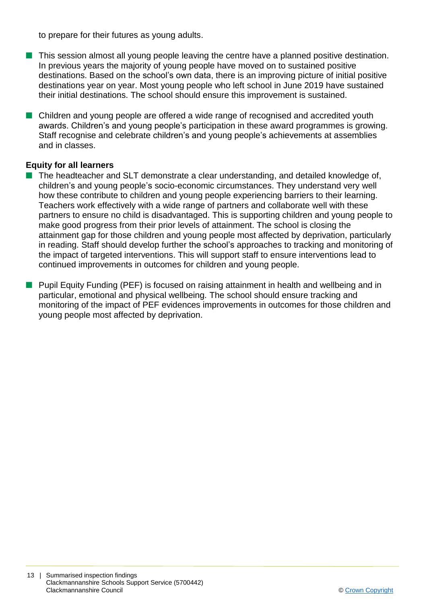to prepare for their futures as young adults.

- $\blacksquare$  This session almost all young people leaving the centre have a planned positive destination. In previous years the majority of young people have moved on to sustained positive destinations. Based on the school's own data, there is an improving picture of initial positive destinations year on year. Most young people who left school in June 2019 have sustained their initial destinations. The school should ensure this improvement is sustained.
- Children and young people are offered a wide range of recognised and accredited youth awards. Children's and young people's participation in these award programmes is growing. Staff recognise and celebrate children's and young people's achievements at assemblies and in classes.

#### **Equity for all learners**

- $\blacksquare$  The headteacher and SLT demonstrate a clear understanding, and detailed knowledge of, children's and young people's socio-economic circumstances. They understand very well how these contribute to children and young people experiencing barriers to their learning. Teachers work effectively with a wide range of partners and collaborate well with these partners to ensure no child is disadvantaged. This is supporting children and young people to make good progress from their prior levels of attainment. The school is closing the attainment gap for those children and young people most affected by deprivation, particularly in reading. Staff should develop further the school's approaches to tracking and monitoring of the impact of targeted interventions. This will support staff to ensure interventions lead to continued improvements in outcomes for children and young people.
- **n** Pupil Equity Funding (PEF) is focused on raising attainment in health and wellbeing and in particular, emotional and physical wellbeing. The school should ensure tracking and monitoring of the impact of PEF evidences improvements in outcomes for those children and young people most affected by deprivation.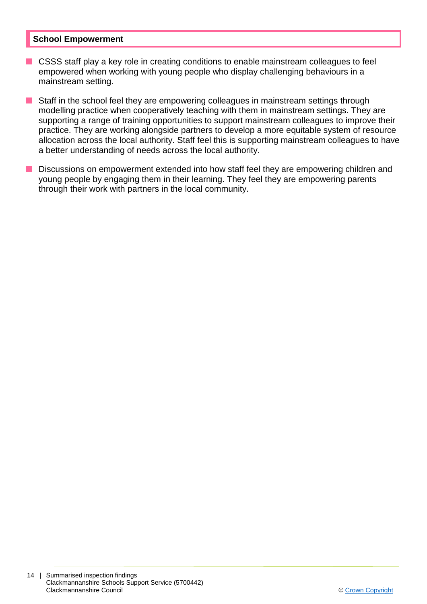#### **School Empowerment**

- CSSS staff play a key role in creating conditions to enable mainstream colleagues to feel empowered when working with young people who display challenging behaviours in a mainstream setting.
- Staff in the school feel they are empowering colleagues in mainstream settings through modelling practice when cooperatively teaching with them in mainstream settings. They are supporting a range of training opportunities to support mainstream colleagues to improve their practice. They are working alongside partners to develop a more equitable system of resource allocation across the local authority. Staff feel this is supporting mainstream colleagues to have a better understanding of needs across the local authority.
- **n** Discussions on empowerment extended into how staff feel they are empowering children and young people by engaging them in their learning. They feel they are empowering parents through their work with partners in the local community.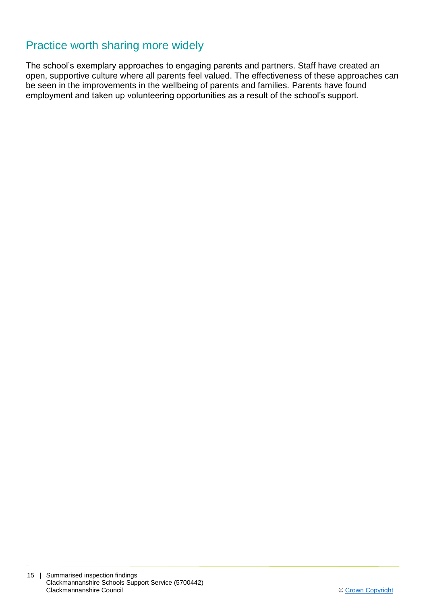## Practice worth sharing more widely

The school's exemplary approaches to engaging parents and partners. Staff have created an open, supportive culture where all parents feel valued. The effectiveness of these approaches can be seen in the improvements in the wellbeing of parents and families. Parents have found employment and taken up volunteering opportunities as a result of the school's support.